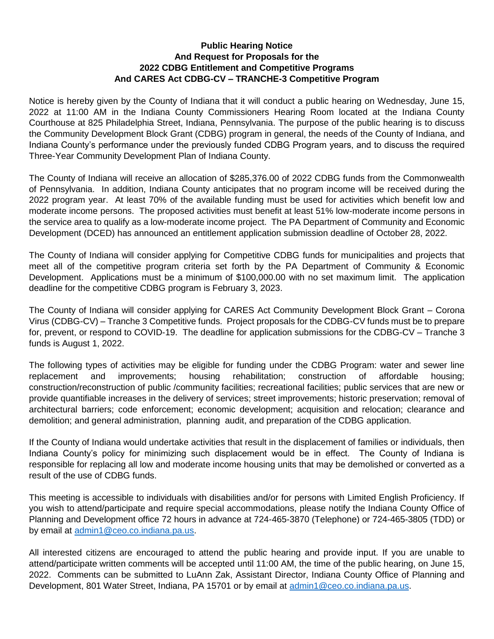## **Public Hearing Notice And Request for Proposals for the 2022 CDBG Entitlement and Competitive Programs And CARES Act CDBG-CV – TRANCHE-3 Competitive Program**

Notice is hereby given by the County of Indiana that it will conduct a public hearing on Wednesday, June 15, 2022 at 11:00 AM in the Indiana County Commissioners Hearing Room located at the Indiana County Courthouse at 825 Philadelphia Street, Indiana, Pennsylvania. The purpose of the public hearing is to discuss the Community Development Block Grant (CDBG) program in general, the needs of the County of Indiana, and Indiana County's performance under the previously funded CDBG Program years, and to discuss the required Three-Year Community Development Plan of Indiana County.

The County of Indiana will receive an allocation of \$285,376.00 of 2022 CDBG funds from the Commonwealth of Pennsylvania. In addition, Indiana County anticipates that no program income will be received during the 2022 program year. At least 70% of the available funding must be used for activities which benefit low and moderate income persons. The proposed activities must benefit at least 51% low-moderate income persons in the service area to qualify as a low-moderate income project. The PA Department of Community and Economic Development (DCED) has announced an entitlement application submission deadline of October 28, 2022.

The County of Indiana will consider applying for Competitive CDBG funds for municipalities and projects that meet all of the competitive program criteria set forth by the PA Department of Community & Economic Development. Applications must be a minimum of \$100,000.00 with no set maximum limit. The application deadline for the competitive CDBG program is February 3, 2023.

The County of Indiana will consider applying for CARES Act Community Development Block Grant – Corona Virus (CDBG-CV) – Tranche 3 Competitive funds. Project proposals for the CDBG-CV funds must be to prepare for, prevent, or respond to COVID-19. The deadline for application submissions for the CDBG-CV – Tranche 3 funds is August 1, 2022.

The following types of activities may be eligible for funding under the CDBG Program: water and sewer line replacement and improvements; housing rehabilitation; construction of affordable housing; construction/reconstruction of public /community facilities; recreational facilities; public services that are new or provide quantifiable increases in the delivery of services; street improvements; historic preservation; removal of architectural barriers; code enforcement; economic development; acquisition and relocation; clearance and demolition; and general administration, planning audit, and preparation of the CDBG application.

If the County of Indiana would undertake activities that result in the displacement of families or individuals, then Indiana County's policy for minimizing such displacement would be in effect. The County of Indiana is responsible for replacing all low and moderate income housing units that may be demolished or converted as a result of the use of CDBG funds.

This meeting is accessible to individuals with disabilities and/or for persons with Limited English Proficiency. If you wish to attend/participate and require special accommodations, please notify the Indiana County Office of Planning and Development office 72 hours in advance at 724-465-3870 (Telephone) or 724-465-3805 (TDD) or by email at [admin1@ceo.co.indiana.pa.us.](mailto:admin1@ceo.co.indiana.pa.us)

All interested citizens are encouraged to attend the public hearing and provide input. If you are unable to attend/participate written comments will be accepted until 11:00 AM, the time of the public hearing, on June 15, 2022. Comments can be submitted to LuAnn Zak, Assistant Director, Indiana County Office of Planning and Development, 801 Water Street, Indiana, PA 15701 or by email at [admin1@ceo.co.indiana.pa.us.](mailto:admin1@ceo.co.indiana.pa.us)